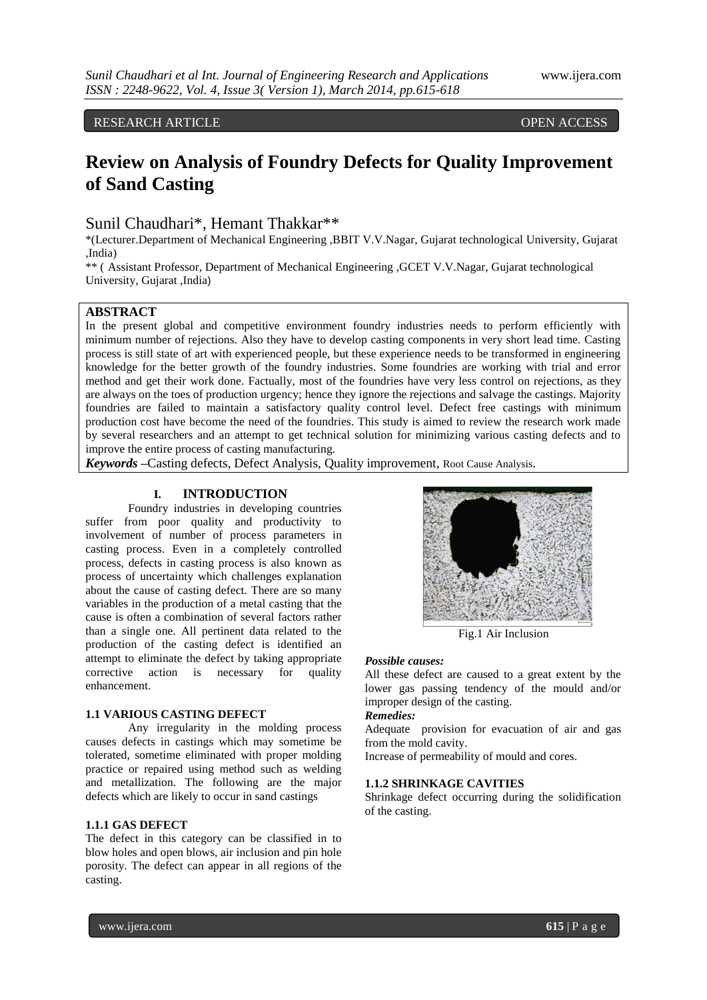RESEARCH ARTICLE OPEN ACCESS

# **Review on Analysis of Foundry Defects for Quality Improvement of Sand Casting**

### Sunil Chaudhari\*, Hemant Thakkar\*\*

\*(Lecturer.Department of Mechanical Engineering ,BBIT V.V.Nagar, Gujarat technological University, Gujarat ,India)

\*\* ( Assistant Professor, Department of Mechanical Engineering ,GCET V.V.Nagar, Gujarat technological University, Gujarat ,India)

### **ABSTRACT**

In the present global and competitive environment foundry industries needs to perform efficiently with minimum number of rejections. Also they have to develop casting components in very short lead time. Casting process is still state of art with experienced people, but these experience needs to be transformed in engineering knowledge for the better growth of the foundry industries. Some foundries are working with trial and error method and get their work done. Factually, most of the foundries have very less control on rejections, as they are always on the toes of production urgency; hence they ignore the rejections and salvage the castings. Majority foundries are failed to maintain a satisfactory quality control level. Defect free castings with minimum production cost have become the need of the foundries. This study is aimed to review the research work made by several researchers and an attempt to get technical solution for minimizing various casting defects and to improve the entire process of casting manufacturing.

*Keywords* **–**Casting defects, Defect Analysis, Quality improvement, Root Cause Analysis.

### **I. INTRODUCTION**

Foundry industries in developing countries suffer from poor quality and productivity to involvement of number of process parameters in casting process. Even in a completely controlled process, defects in casting process is also known as process of uncertainty which challenges explanation about the cause of casting defect. There are so many variables in the production of a metal casting that the cause is often a combination of several factors rather than a single one. All pertinent data related to the production of the casting defect is identified an attempt to eliminate the defect by taking appropriate corrective action is necessary for quality enhancement.

#### **1.1 VARIOUS CASTING DEFECT**

Any irregularity in the molding process causes defects in castings which may sometime be tolerated, sometime eliminated with proper molding practice or repaired using method such as welding and metallization. The following are the major defects which are likely to occur in sand castings

### **1.1.1 GAS DEFECT**

The defect in this category can be classified in to blow holes and open blows, air inclusion and pin hole porosity. The defect can appear in all regions of the casting.



Fig.1 Air Inclusion

### *Possible causes:*

All these defect are caused to a great extent by the lower gas passing tendency of the mould and/or improper design of the casting.

#### *Remedies:*

Adequate provision for evacuation of air and gas from the mold cavity.

Increase of permeability of mould and cores.

### **1.1.2 SHRINKAGE CAVITIES**

Shrinkage defect occurring during the solidification of the casting.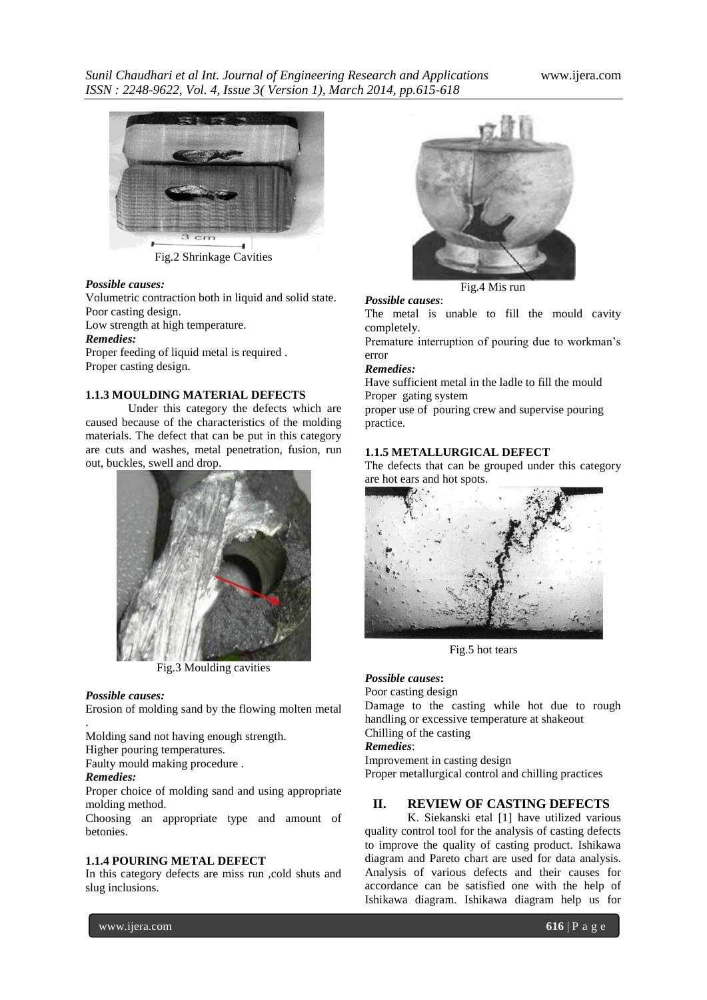*Sunil Chaudhari et al Int. Journal of Engineering Research and Applications* www.ijera.com *ISSN : 2248-9622, Vol. 4, Issue 3( Version 1), March 2014, pp.615-618*



Fig.2 Shrinkage Cavities

#### *Possible causes:*

Proper casting design.

Volumetric contraction both in liquid and solid state. Poor casting design. Low strength at high temperature. *Remedies:* Proper feeding of liquid metal is required .

#### **1.1.3 MOULDING MATERIAL DEFECTS**

Under this category the defects which are caused because of the characteristics of the molding materials. The defect that can be put in this category are cuts and washes, metal penetration, fusion, run out, buckles, swell and drop.



Fig.3 Moulding cavities

#### *Possible causes:*

Erosion of molding sand by the flowing molten metal

. Molding sand not having enough strength.

Higher pouring temperatures.

Faulty mould making procedure .

### *Remedies:*

Proper choice of molding sand and using appropriate molding method.

Choosing an appropriate type and amount of betonies.

#### **1.1.4 POURING METAL DEFECT**

In this category defects are miss run ,cold shuts and slug inclusions.



Fig.4 Mis run

#### *Possible causes*:

The metal is unable to fill the mould cavity completely.

Premature interruption of pouring due to workman's error

#### *Remedies:*

Have sufficient metal in the ladle to fill the mould Proper gating system

proper use of pouring crew and supervise pouring practice.

### **1.1.5 METALLURGICAL DEFECT**

The defects that can be grouped under this category are hot ears and hot spots.



Fig.5 hot tears

#### *Possible causes***:**

Poor casting design Damage to the casting while hot due to rough

handling or excessive temperature at shakeout

## Chilling of the casting

*Remedies*:

Improvement in casting design Proper metallurgical control and chilling practices

### **II. REVIEW OF CASTING DEFECTS**

K. Siekanski etal [1] have utilized various quality control tool for the analysis of casting defects to improve the quality of casting product. Ishikawa diagram and Pareto chart are used for data analysis. Analysis of various defects and their causes for accordance can be satisfied one with the help of Ishikawa diagram. Ishikawa diagram help us for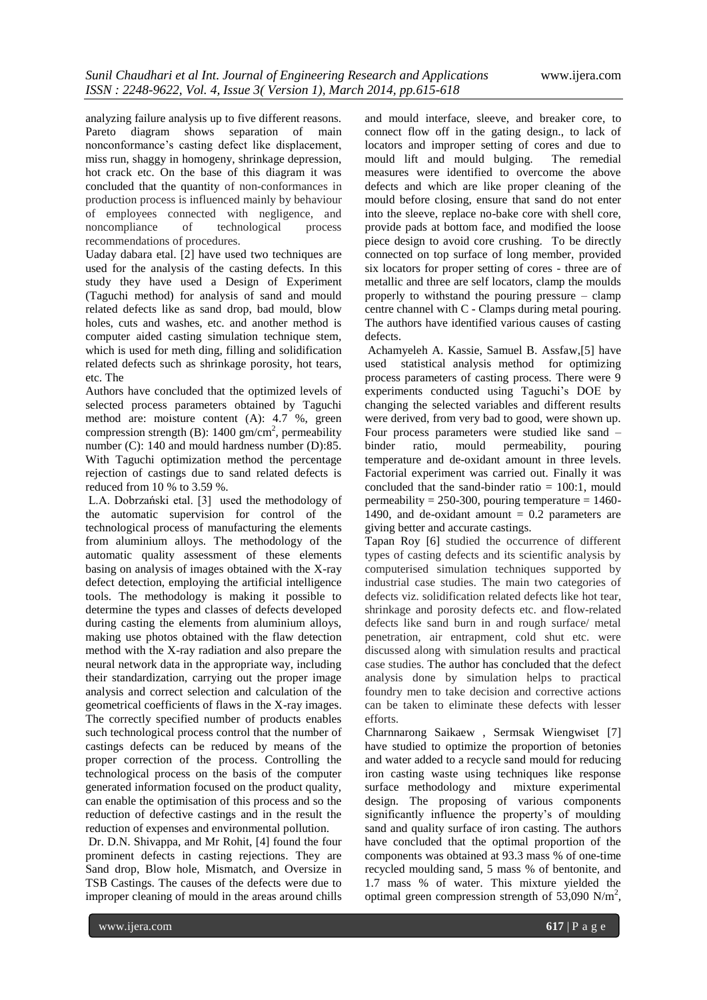analyzing failure analysis up to five different reasons. Pareto diagram shows separation of main nonconformance's casting defect like displacement, miss run, shaggy in homogeny, shrinkage depression, hot crack etc. On the base of this diagram it was concluded that the quantity of non-conformances in production process is influenced mainly by behaviour of employees connected with negligence, and noncompliance of technological process recommendations of procedures.

Uaday dabara etal. [2] have used two techniques are used for the analysis of the casting defects. In this study they have used a Design of Experiment (Taguchi method) for analysis of sand and mould related defects like as sand drop, bad mould, blow holes, cuts and washes, etc. and another method is computer aided casting simulation technique stem, which is used for meth ding, filling and solidification related defects such as shrinkage porosity, hot tears, etc. The

Authors have concluded that the optimized levels of selected process parameters obtained by Taguchi method are: moisture content (A): 4.7 %, green compression strength (B):  $1400 \text{ gm/cm}^2$ , permeability number (C): 140 and mould hardness number (D):85. With Taguchi optimization method the percentage rejection of castings due to sand related defects is reduced from 10 % to 3.59 %.

L.A. Dobrzański etal. [3] used the methodology of the automatic supervision for control of the technological process of manufacturing the elements from aluminium alloys. The methodology of the automatic quality assessment of these elements basing on analysis of images obtained with the X-ray defect detection, employing the artificial intelligence tools. The methodology is making it possible to determine the types and classes of defects developed during casting the elements from aluminium alloys, making use photos obtained with the flaw detection method with the X-ray radiation and also prepare the neural network data in the appropriate way, including their standardization, carrying out the proper image analysis and correct selection and calculation of the geometrical coefficients of flaws in the X-ray images. The correctly specified number of products enables such technological process control that the number of castings defects can be reduced by means of the proper correction of the process. Controlling the technological process on the basis of the computer generated information focused on the product quality, can enable the optimisation of this process and so the reduction of defective castings and in the result the reduction of expenses and environmental pollution.

Dr. D.N. Shivappa, and Mr Rohit, [4] found the four prominent defects in casting rejections. They are Sand drop, Blow hole, Mismatch, and Oversize in TSB Castings. The causes of the defects were due to improper cleaning of mould in the areas around chills

and mould interface, sleeve, and breaker core, to connect flow off in the gating design., to lack of locators and improper setting of cores and due to mould lift and mould bulging. The remedial measures were identified to overcome the above defects and which are like proper cleaning of the mould before closing, ensure that sand do not enter into the sleeve, replace no-bake core with shell core, provide pads at bottom face, and modified the loose piece design to avoid core crushing. To be directly connected on top surface of long member, provided six locators for proper setting of cores - three are of metallic and three are self locators, clamp the moulds properly to withstand the pouring pressure – clamp centre channel with C - Clamps during metal pouring. The authors have identified various causes of casting defects.

Achamyeleh A. Kassie, Samuel B. Assfaw,[5] have used statistical analysis method for optimizing process parameters of casting process. There were 9 experiments conducted using Taguchi's DOE by changing the selected variables and different results were derived, from very bad to good, were shown up. Four process parameters were studied like sand – binder ratio, mould permeability, pouring temperature and de-oxidant amount in three levels. Factorial experiment was carried out. Finally it was concluded that the sand-binder ratio  $= 100:1$ , mould permeability =  $250-300$ , pouring temperature =  $1460-$ 1490, and de-oxidant amount  $= 0.2$  parameters are giving better and accurate castings.

Tapan Roy [6] studied the occurrence of different types of casting defects and its scientific analysis by computerised simulation techniques supported by industrial case studies. The main two categories of defects viz. solidification related defects like hot tear, shrinkage and porosity defects etc. and flow-related defects like sand burn in and rough surface/ metal penetration, air entrapment, cold shut etc. were discussed along with simulation results and practical case studies. The author has concluded that the defect analysis done by simulation helps to practical foundry men to take decision and corrective actions can be taken to eliminate these defects with lesser efforts.

Charnnarong Saikaew , Sermsak Wiengwiset [7] have studied to optimize the proportion of betonies and water added to a recycle sand mould for reducing iron casting waste using techniques like response surface methodology and mixture experimental design. The proposing of various components significantly influence the property's of moulding sand and quality surface of iron casting. The authors have concluded that the optimal proportion of the components was obtained at 93.3 mass % of one-time recycled moulding sand, 5 mass % of bentonite, and 1.7 mass % of water. This mixture yielded the optimal green compression strength of 53,090 N/m<sup>2</sup>,